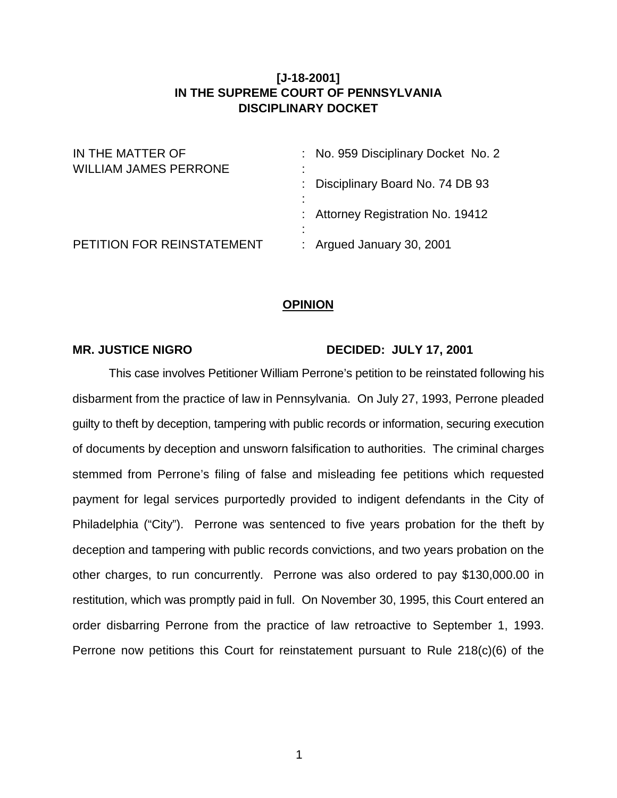## **[J-18-2001] IN THE SUPREME COURT OF PENNSYLVANIA DISCIPLINARY DOCKET**

| IN THE MATTER OF<br><b>WILLIAM JAMES PERRONE</b> | : No. 959 Disciplinary Docket No. 2<br>٠            |
|--------------------------------------------------|-----------------------------------------------------|
|                                                  | $\blacksquare$<br>: Disciplinary Board No. 74 DB 93 |
|                                                  | $\blacksquare$<br>: Attorney Registration No. 19412 |
| PETITION FOR REINSTATEMENT                       | ٠<br>$\blacksquare$<br>: Argued January 30, 2001    |

## **OPINION**

## MR. JUSTICE NIGRO DECIDED: JULY 17, 2001

This case involves Petitioner William Perrone's petition to be reinstated following his disbarment from the practice of law in Pennsylvania. On July 27, 1993, Perrone pleaded guilty to theft by deception, tampering with public records or information, securing execution of documents by deception and unsworn falsification to authorities. The criminal charges stemmed from Perrone's filing of false and misleading fee petitions which requested payment for legal services purportedly provided to indigent defendants in the City of Philadelphia ("City"). Perrone was sentenced to five years probation for the theft by deception and tampering with public records convictions, and two years probation on the other charges, to run concurrently. Perrone was also ordered to pay \$130,000.00 in restitution, which was promptly paid in full. On November 30, 1995, this Court entered an order disbarring Perrone from the practice of law retroactive to September 1, 1993. Perrone now petitions this Court for reinstatement pursuant to Rule 218(c)(6) of the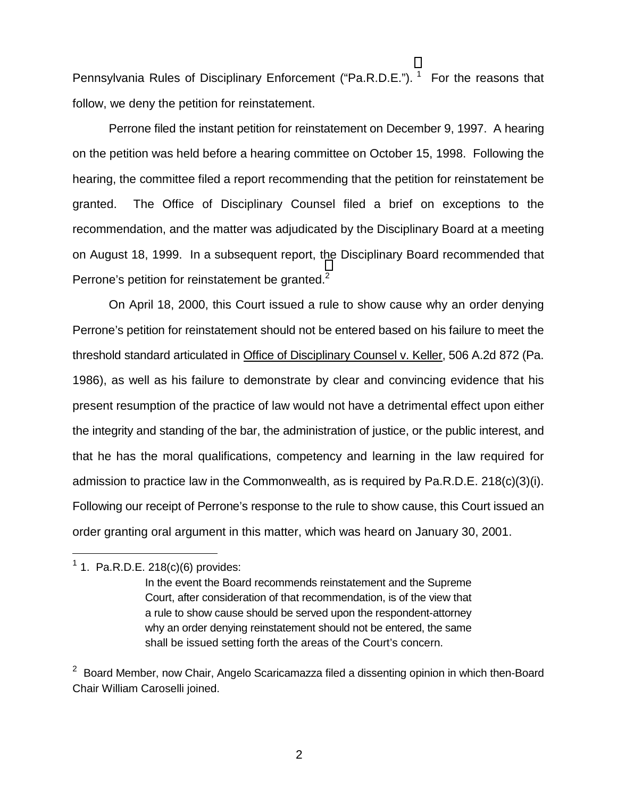Pennsylvania Rules of Disciplinary Enforcement ("Pa.R.D.E."). <sup>1</sup> For the reasons that follow, we deny the petition for reinstatement.

Perrone filed the instant petition for reinstatement on December 9, 1997. A hearing on the petition was held before a hearing committee on October 15, 1998. Following the hearing, the committee filed a report recommending that the petition for reinstatement be granted. The Office of Disciplinary Counsel filed a brief on exceptions to the recommendation, and the matter was adjudicated by the Disciplinary Board at a meeting on August 18, 1999. In a subsequent report, the Disciplinary Board recommended that Perrone's petition for reinstatement be granted.<sup>2</sup>

On April 18, 2000, this Court issued a rule to show cause why an order denying Perrone's petition for reinstatement should not be entered based on his failure to meet the threshold standard articulated in Office of Disciplinary Counsel v. Keller, 506 A.2d 872 (Pa. 1986), as well as his failure to demonstrate by clear and convincing evidence that his present resumption of the practice of law would not have a detrimental effect upon either the integrity and standing of the bar, the administration of justice, or the public interest, and that he has the moral qualifications, competency and learning in the law required for admission to practice law in the Commonwealth, as is required by Pa.R.D.E. 218(c)(3)(i). Following our receipt of Perrone's response to the rule to show cause, this Court issued an order granting oral argument in this matter, which was heard on January 30, 2001.

 $\overline{a}$ 

<sup>&</sup>lt;sup>1</sup> 1. Pa.R.D.E. 218(c)(6) provides:

In the event the Board recommends reinstatement and the Supreme Court, after consideration of that recommendation, is of the view that a rule to show cause should be served upon the respondent-attorney why an order denying reinstatement should not be entered, the same shall be issued setting forth the areas of the Court's concern.

 $2$  Board Member, now Chair, Angelo Scaricamazza filed a dissenting opinion in which then-Board Chair William Caroselli joined.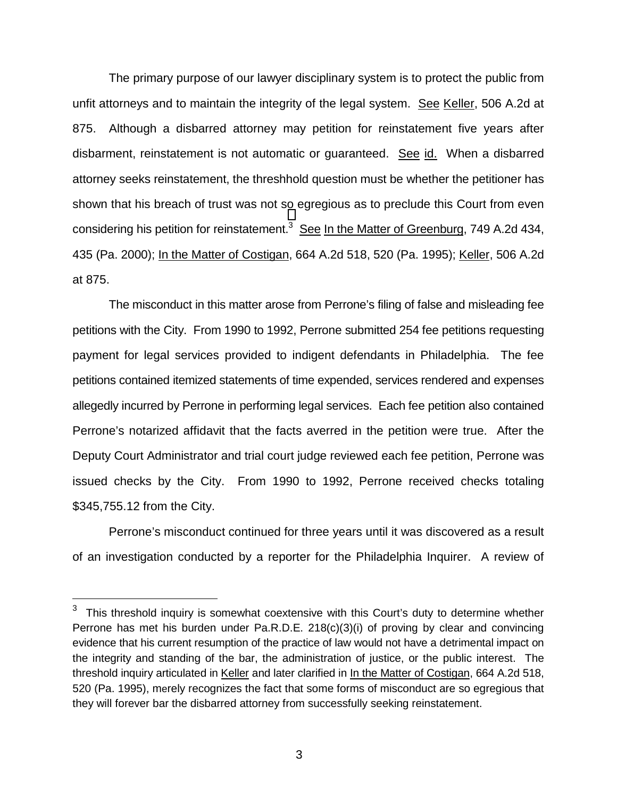The primary purpose of our lawyer disciplinary system is to protect the public from unfit attorneys and to maintain the integrity of the legal system. See Keller, 506 A.2d at 875. Although a disbarred attorney may petition for reinstatement five years after disbarment, reinstatement is not automatic or guaranteed. See id. When a disbarred attorney seeks reinstatement, the threshhold question must be whether the petitioner has shown that his breach of trust was not so egregious as to preclude this Court from even considering his petition for reinstatement.<sup>3</sup> See In the Matter of Greenburg, 749 A.2d 434, 435 (Pa. 2000); In the Matter of Costigan, 664 A.2d 518, 520 (Pa. 1995); Keller, 506 A.2d at 875.

The misconduct in this matter arose from Perrone's filing of false and misleading fee petitions with the City. From 1990 to 1992, Perrone submitted 254 fee petitions requesting payment for legal services provided to indigent defendants in Philadelphia. The fee petitions contained itemized statements of time expended, services rendered and expenses allegedly incurred by Perrone in performing legal services. Each fee petition also contained Perrone's notarized affidavit that the facts averred in the petition were true. After the Deputy Court Administrator and trial court judge reviewed each fee petition, Perrone was issued checks by the City. From 1990 to 1992, Perrone received checks totaling \$345,755.12 from the City.

Perrone's misconduct continued for three years until it was discovered as a result of an investigation conducted by a reporter for the Philadelphia Inquirer. A review of

 $\overline{a}$ 

 $3$  This threshold inquiry is somewhat coextensive with this Court's duty to determine whether Perrone has met his burden under Pa.R.D.E.  $218(c)(3)(i)$  of proving by clear and convincing evidence that his current resumption of the practice of law would not have a detrimental impact on the integrity and standing of the bar, the administration of justice, or the public interest. The threshold inquiry articulated in Keller and later clarified in In the Matter of Costigan, 664 A.2d 518, 520 (Pa. 1995), merely recognizes the fact that some forms of misconduct are so egregious that they will forever bar the disbarred attorney from successfully seeking reinstatement.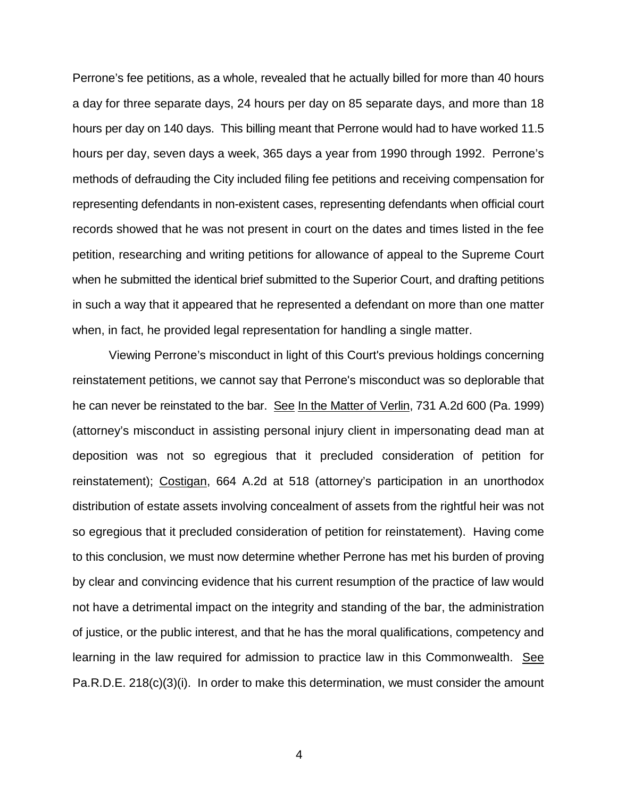Perrone's fee petitions, as a whole, revealed that he actually billed for more than 40 hours a day for three separate days, 24 hours per day on 85 separate days, and more than 18 hours per day on 140 days. This billing meant that Perrone would had to have worked 11.5 hours per day, seven days a week, 365 days a year from 1990 through 1992. Perrone's methods of defrauding the City included filing fee petitions and receiving compensation for representing defendants in non-existent cases, representing defendants when official court records showed that he was not present in court on the dates and times listed in the fee petition, researching and writing petitions for allowance of appeal to the Supreme Court when he submitted the identical brief submitted to the Superior Court, and drafting petitions in such a way that it appeared that he represented a defendant on more than one matter when, in fact, he provided legal representation for handling a single matter.

Viewing Perrone's misconduct in light of this Court's previous holdings concerning reinstatement petitions, we cannot say that Perrone's misconduct was so deplorable that he can never be reinstated to the bar. See In the Matter of Verlin, 731 A.2d 600 (Pa. 1999) (attorney's misconduct in assisting personal injury client in impersonating dead man at deposition was not so egregious that it precluded consideration of petition for reinstatement); Costigan, 664 A.2d at 518 (attorney's participation in an unorthodox distribution of estate assets involving concealment of assets from the rightful heir was not so egregious that it precluded consideration of petition for reinstatement). Having come to this conclusion, we must now determine whether Perrone has met his burden of proving by clear and convincing evidence that his current resumption of the practice of law would not have a detrimental impact on the integrity and standing of the bar, the administration of justice, or the public interest, and that he has the moral qualifications, competency and learning in the law required for admission to practice law in this Commonwealth. See Pa.R.D.E. 218(c)(3)(i). In order to make this determination, we must consider the amount

4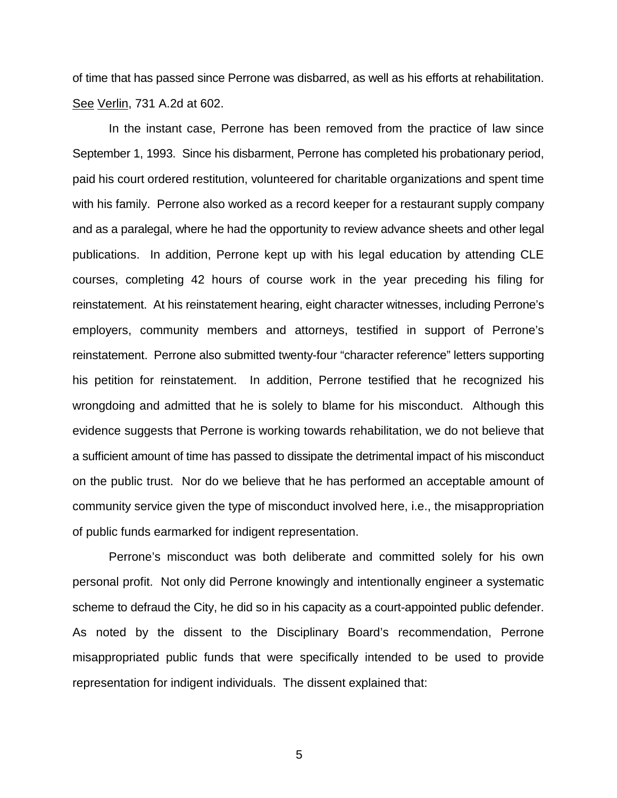of time that has passed since Perrone was disbarred, as well as his efforts at rehabilitation. See Verlin, 731 A.2d at 602.

In the instant case, Perrone has been removed from the practice of law since September 1, 1993. Since his disbarment, Perrone has completed his probationary period, paid his court ordered restitution, volunteered for charitable organizations and spent time with his family. Perrone also worked as a record keeper for a restaurant supply company and as a paralegal, where he had the opportunity to review advance sheets and other legal publications. In addition, Perrone kept up with his legal education by attending CLE courses, completing 42 hours of course work in the year preceding his filing for reinstatement. At his reinstatement hearing, eight character witnesses, including Perrone's employers, community members and attorneys, testified in support of Perrone's reinstatement. Perrone also submitted twenty-four "character reference" letters supporting his petition for reinstatement. In addition, Perrone testified that he recognized his wrongdoing and admitted that he is solely to blame for his misconduct. Although this evidence suggests that Perrone is working towards rehabilitation, we do not believe that a sufficient amount of time has passed to dissipate the detrimental impact of his misconduct on the public trust. Nor do we believe that he has performed an acceptable amount of community service given the type of misconduct involved here, i.e., the misappropriation of public funds earmarked for indigent representation.

Perrone's misconduct was both deliberate and committed solely for his own personal profit. Not only did Perrone knowingly and intentionally engineer a systematic scheme to defraud the City, he did so in his capacity as a court-appointed public defender. As noted by the dissent to the Disciplinary Board's recommendation, Perrone misappropriated public funds that were specifically intended to be used to provide representation for indigent individuals. The dissent explained that:

5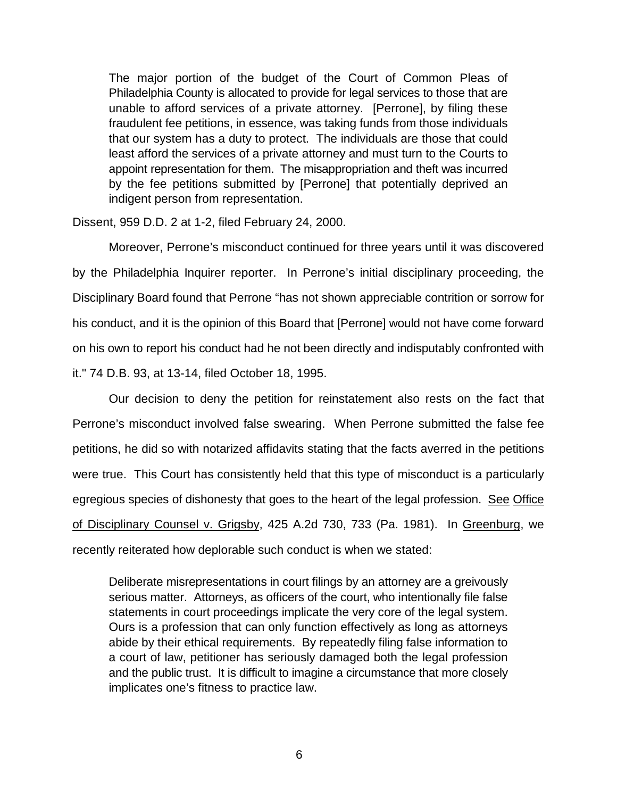The major portion of the budget of the Court of Common Pleas of Philadelphia County is allocated to provide for legal services to those that are unable to afford services of a private attorney. [Perrone], by filing these fraudulent fee petitions, in essence, was taking funds from those individuals that our system has a duty to protect. The individuals are those that could least afford the services of a private attorney and must turn to the Courts to appoint representation for them. The misappropriation and theft was incurred by the fee petitions submitted by [Perrone] that potentially deprived an indigent person from representation.

Dissent, 959 D.D. 2 at 1-2, filed February 24, 2000.

Moreover, Perrone's misconduct continued for three years until it was discovered by the Philadelphia Inquirer reporter. In Perrone's initial disciplinary proceeding, the Disciplinary Board found that Perrone "has not shown appreciable contrition or sorrow for his conduct, and it is the opinion of this Board that [Perrone] would not have come forward on his own to report his conduct had he not been directly and indisputably confronted with it." 74 D.B. 93, at 13-14, filed October 18, 1995.

Our decision to deny the petition for reinstatement also rests on the fact that Perrone's misconduct involved false swearing. When Perrone submitted the false fee petitions, he did so with notarized affidavits stating that the facts averred in the petitions were true. This Court has consistently held that this type of misconduct is a particularly egregious species of dishonesty that goes to the heart of the legal profession. See Office of Disciplinary Counsel v. Grigsby, 425 A.2d 730, 733 (Pa. 1981). In Greenburg, we recently reiterated how deplorable such conduct is when we stated:

Deliberate misrepresentations in court filings by an attorney are a greivously serious matter. Attorneys, as officers of the court, who intentionally file false statements in court proceedings implicate the very core of the legal system. Ours is a profession that can only function effectively as long as attorneys abide by their ethical requirements. By repeatedly filing false information to a court of law, petitioner has seriously damaged both the legal profession and the public trust. It is difficult to imagine a circumstance that more closely implicates one's fitness to practice law.